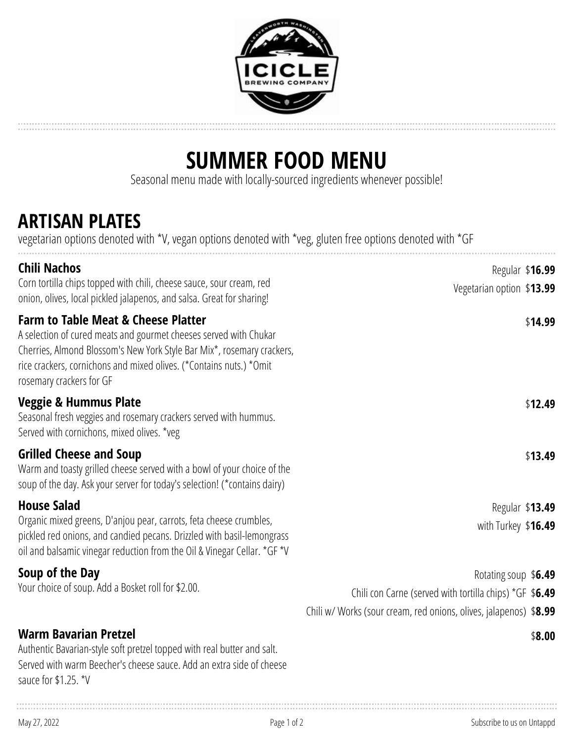

# **SUMMER FOOD MENU**

Seasonal menu made with locally-sourced ingredients whenever possible!

#### **ARTISAN PLATES**

vegetarian options denoted with \*V, vegan options denoted with \*veg, gluten free options denoted with \*GF

| Regular \$16.99<br>Vegetarian option \$13.99                      |
|-------------------------------------------------------------------|
| \$14.99                                                           |
| \$12.49                                                           |
| \$13.49                                                           |
| Regular \$13.49                                                   |
| with Turkey \$16.49                                               |
| Rotating soup \$6.49                                              |
| Chili con Carne (served with tortilla chips) *GF \$6.49           |
| Chili w/ Works (sour cream, red onions, olives, jalapenos) \$8.99 |
| \$8.00                                                            |
|                                                                   |